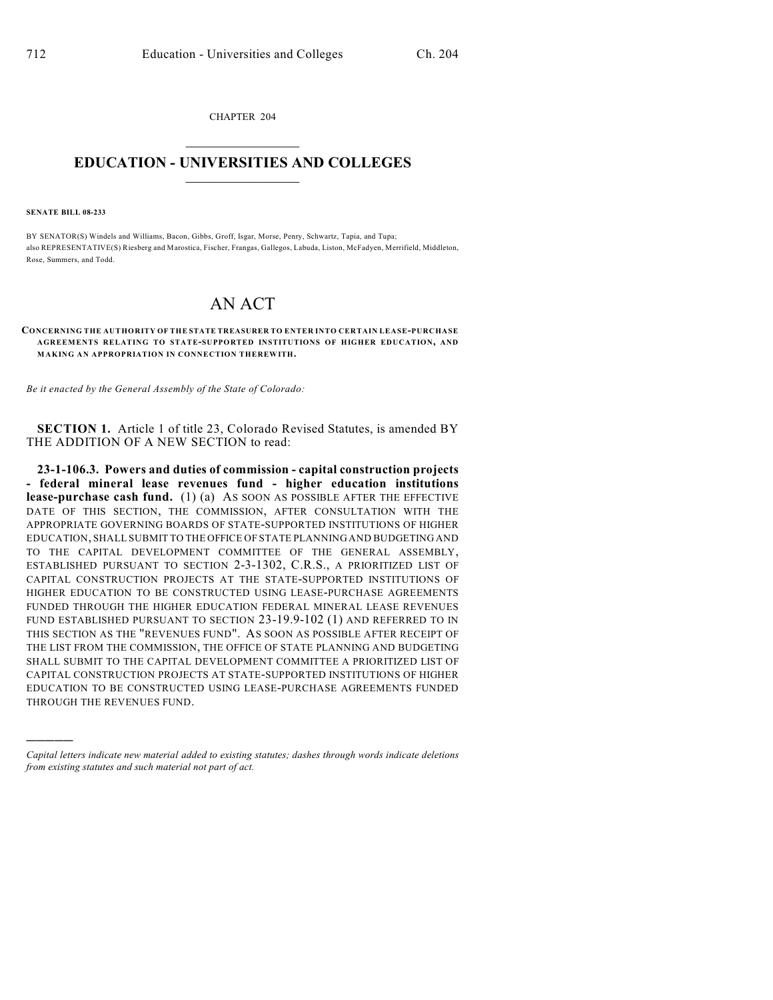CHAPTER 204  $\overline{\phantom{a}}$  . The set of the set of the set of the set of the set of the set of the set of the set of the set of the set of the set of the set of the set of the set of the set of the set of the set of the set of the set o

## **EDUCATION - UNIVERSITIES AND COLLEGES**  $\_$

**SENATE BILL 08-233**

)))))

BY SENATOR(S) Windels and Williams, Bacon, Gibbs, Groff, Isgar, Morse, Penry, Schwartz, Tapia, and Tupa; also REPRESENTATIVE(S) Riesberg and Marostica, Fischer, Frangas, Gallegos, Labuda, Liston, McFadyen, Merrifield, Middleton, Rose, Summers, and Todd.

# AN ACT

#### **CONCERNING THE AUTHORITY OF THE STATE TREASURER TO ENTER INTO CERTAIN LEASE-PURCHASE AGREEMENTS RELATING TO STATE-SUPPORTED INSTITUTIONS OF HIGHER EDUCATION, AND MAKING AN APPROPRIATION IN CONNECTION THEREWITH.**

*Be it enacted by the General Assembly of the State of Colorado:*

**SECTION 1.** Article 1 of title 23, Colorado Revised Statutes, is amended BY THE ADDITION OF A NEW SECTION to read:

**23-1-106.3. Powers and duties of commission - capital construction projects - federal mineral lease revenues fund - higher education institutions lease-purchase cash fund.** (1) (a) AS SOON AS POSSIBLE AFTER THE EFFECTIVE DATE OF THIS SECTION, THE COMMISSION, AFTER CONSULTATION WITH THE APPROPRIATE GOVERNING BOARDS OF STATE-SUPPORTED INSTITUTIONS OF HIGHER EDUCATION, SHALL SUBMIT TO THE OFFICE OF STATE PLANNING AND BUDGETING AND TO THE CAPITAL DEVELOPMENT COMMITTEE OF THE GENERAL ASSEMBLY, ESTABLISHED PURSUANT TO SECTION 2-3-1302, C.R.S., A PRIORITIZED LIST OF CAPITAL CONSTRUCTION PROJECTS AT THE STATE-SUPPORTED INSTITUTIONS OF HIGHER EDUCATION TO BE CONSTRUCTED USING LEASE-PURCHASE AGREEMENTS FUNDED THROUGH THE HIGHER EDUCATION FEDERAL MINERAL LEASE REVENUES FUND ESTABLISHED PURSUANT TO SECTION 23-19.9-102 (1) AND REFERRED TO IN THIS SECTION AS THE "REVENUES FUND". AS SOON AS POSSIBLE AFTER RECEIPT OF THE LIST FROM THE COMMISSION, THE OFFICE OF STATE PLANNING AND BUDGETING SHALL SUBMIT TO THE CAPITAL DEVELOPMENT COMMITTEE A PRIORITIZED LIST OF CAPITAL CONSTRUCTION PROJECTS AT STATE-SUPPORTED INSTITUTIONS OF HIGHER EDUCATION TO BE CONSTRUCTED USING LEASE-PURCHASE AGREEMENTS FUNDED THROUGH THE REVENUES FUND.

*Capital letters indicate new material added to existing statutes; dashes through words indicate deletions from existing statutes and such material not part of act.*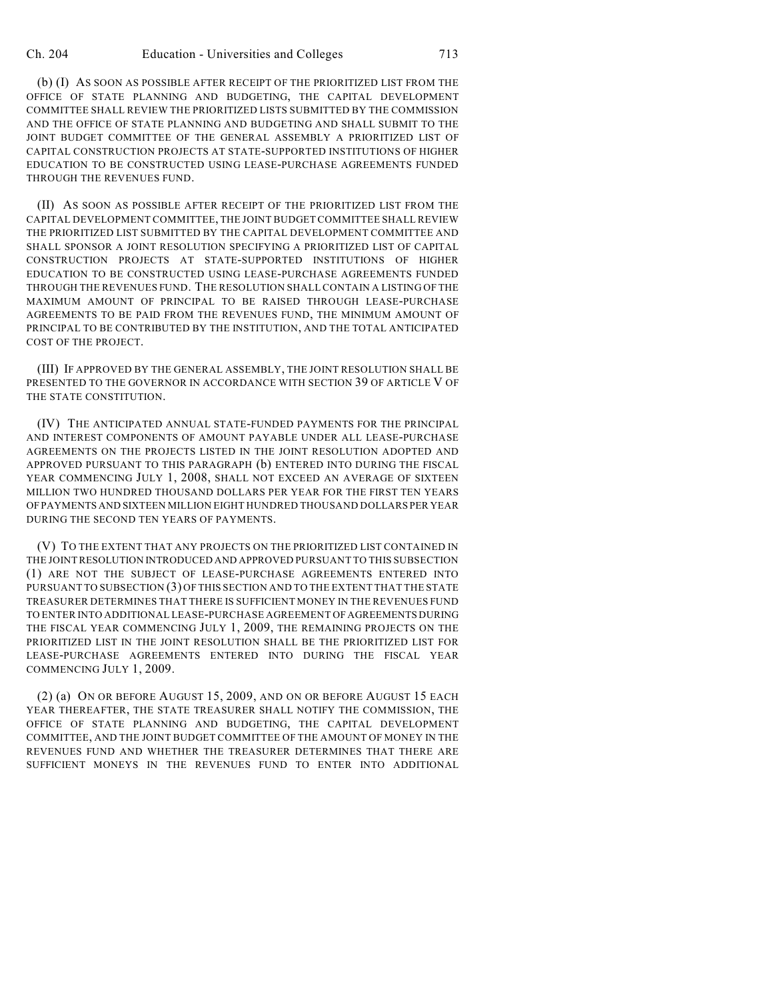(b) (I) AS SOON AS POSSIBLE AFTER RECEIPT OF THE PRIORITIZED LIST FROM THE OFFICE OF STATE PLANNING AND BUDGETING, THE CAPITAL DEVELOPMENT COMMITTEE SHALL REVIEW THE PRIORITIZED LISTS SUBMITTED BY THE COMMISSION AND THE OFFICE OF STATE PLANNING AND BUDGETING AND SHALL SUBMIT TO THE JOINT BUDGET COMMITTEE OF THE GENERAL ASSEMBLY A PRIORITIZED LIST OF CAPITAL CONSTRUCTION PROJECTS AT STATE-SUPPORTED INSTITUTIONS OF HIGHER EDUCATION TO BE CONSTRUCTED USING LEASE-PURCHASE AGREEMENTS FUNDED THROUGH THE REVENUES FUND.

(II) AS SOON AS POSSIBLE AFTER RECEIPT OF THE PRIORITIZED LIST FROM THE CAPITAL DEVELOPMENT COMMITTEE, THE JOINT BUDGET COMMITTEE SHALL REVIEW THE PRIORITIZED LIST SUBMITTED BY THE CAPITAL DEVELOPMENT COMMITTEE AND SHALL SPONSOR A JOINT RESOLUTION SPECIFYING A PRIORITIZED LIST OF CAPITAL CONSTRUCTION PROJECTS AT STATE-SUPPORTED INSTITUTIONS OF HIGHER EDUCATION TO BE CONSTRUCTED USING LEASE-PURCHASE AGREEMENTS FUNDED THROUGH THE REVENUES FUND. THE RESOLUTION SHALL CONTAIN A LISTING OF THE MAXIMUM AMOUNT OF PRINCIPAL TO BE RAISED THROUGH LEASE-PURCHASE AGREEMENTS TO BE PAID FROM THE REVENUES FUND, THE MINIMUM AMOUNT OF PRINCIPAL TO BE CONTRIBUTED BY THE INSTITUTION, AND THE TOTAL ANTICIPATED COST OF THE PROJECT.

(III) IF APPROVED BY THE GENERAL ASSEMBLY, THE JOINT RESOLUTION SHALL BE PRESENTED TO THE GOVERNOR IN ACCORDANCE WITH SECTION 39 OF ARTICLE V OF THE STATE CONSTITUTION.

(IV) THE ANTICIPATED ANNUAL STATE-FUNDED PAYMENTS FOR THE PRINCIPAL AND INTEREST COMPONENTS OF AMOUNT PAYABLE UNDER ALL LEASE-PURCHASE AGREEMENTS ON THE PROJECTS LISTED IN THE JOINT RESOLUTION ADOPTED AND APPROVED PURSUANT TO THIS PARAGRAPH (b) ENTERED INTO DURING THE FISCAL YEAR COMMENCING JULY 1, 2008, SHALL NOT EXCEED AN AVERAGE OF SIXTEEN MILLION TWO HUNDRED THOUSAND DOLLARS PER YEAR FOR THE FIRST TEN YEARS OF PAYMENTS AND SIXTEEN MILLION EIGHT HUNDRED THOUSAND DOLLARS PER YEAR DURING THE SECOND TEN YEARS OF PAYMENTS.

(V) TO THE EXTENT THAT ANY PROJECTS ON THE PRIORITIZED LIST CONTAINED IN THE JOINT RESOLUTION INTRODUCED AND APPROVED PURSUANT TO THIS SUBSECTION (1) ARE NOT THE SUBJECT OF LEASE-PURCHASE AGREEMENTS ENTERED INTO PURSUANT TO SUBSECTION (3) OF THIS SECTION AND TO THE EXTENT THAT THE STATE TREASURER DETERMINES THAT THERE IS SUFFICIENT MONEY IN THE REVENUES FUND TO ENTER INTO ADDITIONAL LEASE-PURCHASE AGREEMENT OF AGREEMENTS DURING THE FISCAL YEAR COMMENCING JULY 1, 2009, THE REMAINING PROJECTS ON THE PRIORITIZED LIST IN THE JOINT RESOLUTION SHALL BE THE PRIORITIZED LIST FOR LEASE-PURCHASE AGREEMENTS ENTERED INTO DURING THE FISCAL YEAR COMMENCING JULY 1, 2009.

(2) (a) ON OR BEFORE AUGUST 15, 2009, AND ON OR BEFORE AUGUST 15 EACH YEAR THEREAFTER, THE STATE TREASURER SHALL NOTIFY THE COMMISSION, THE OFFICE OF STATE PLANNING AND BUDGETING, THE CAPITAL DEVELOPMENT COMMITTEE, AND THE JOINT BUDGET COMMITTEE OF THE AMOUNT OF MONEY IN THE REVENUES FUND AND WHETHER THE TREASURER DETERMINES THAT THERE ARE SUFFICIENT MONEYS IN THE REVENUES FUND TO ENTER INTO ADDITIONAL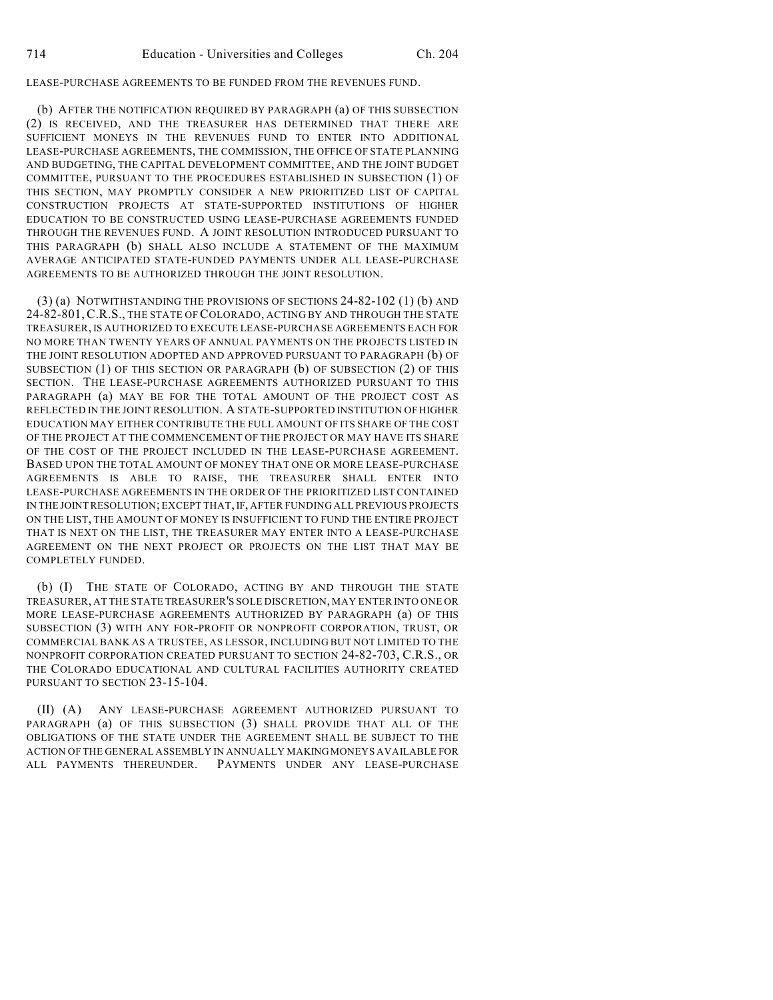## LEASE-PURCHASE AGREEMENTS TO BE FUNDED FROM THE REVENUES FUND.

(b) AFTER THE NOTIFICATION REQUIRED BY PARAGRAPH (a) OF THIS SUBSECTION (2) IS RECEIVED, AND THE TREASURER HAS DETERMINED THAT THERE ARE SUFFICIENT MONEYS IN THE REVENUES FUND TO ENTER INTO ADDITIONAL LEASE-PURCHASE AGREEMENTS, THE COMMISSION, THE OFFICE OF STATE PLANNING AND BUDGETING, THE CAPITAL DEVELOPMENT COMMITTEE, AND THE JOINT BUDGET COMMITTEE, PURSUANT TO THE PROCEDURES ESTABLISHED IN SUBSECTION (1) OF THIS SECTION, MAY PROMPTLY CONSIDER A NEW PRIORITIZED LIST OF CAPITAL CONSTRUCTION PROJECTS AT STATE-SUPPORTED INSTITUTIONS OF HIGHER EDUCATION TO BE CONSTRUCTED USING LEASE-PURCHASE AGREEMENTS FUNDED THROUGH THE REVENUES FUND. A JOINT RESOLUTION INTRODUCED PURSUANT TO THIS PARAGRAPH (b) SHALL ALSO INCLUDE A STATEMENT OF THE MAXIMUM AVERAGE ANTICIPATED STATE-FUNDED PAYMENTS UNDER ALL LEASE-PURCHASE AGREEMENTS TO BE AUTHORIZED THROUGH THE JOINT RESOLUTION.

(3) (a) NOTWITHSTANDING THE PROVISIONS OF SECTIONS 24-82-102 (1) (b) AND 24-82-801, C.R.S., THE STATE OF COLORADO, ACTING BY AND THROUGH THE STATE TREASURER, IS AUTHORIZED TO EXECUTE LEASE-PURCHASE AGREEMENTS EACH FOR NO MORE THAN TWENTY YEARS OF ANNUAL PAYMENTS ON THE PROJECTS LISTED IN THE JOINT RESOLUTION ADOPTED AND APPROVED PURSUANT TO PARAGRAPH (b) OF SUBSECTION (1) OF THIS SECTION OR PARAGRAPH (b) OF SUBSECTION (2) OF THIS SECTION. THE LEASE-PURCHASE AGREEMENTS AUTHORIZED PURSUANT TO THIS PARAGRAPH (a) MAY BE FOR THE TOTAL AMOUNT OF THE PROJECT COST AS REFLECTED IN THE JOINT RESOLUTION. A STATE-SUPPORTED INSTITUTION OF HIGHER EDUCATION MAY EITHER CONTRIBUTE THE FULL AMOUNT OF ITS SHARE OF THE COST OF THE PROJECT AT THE COMMENCEMENT OF THE PROJECT OR MAY HAVE ITS SHARE OF THE COST OF THE PROJECT INCLUDED IN THE LEASE-PURCHASE AGREEMENT. BASED UPON THE TOTAL AMOUNT OF MONEY THAT ONE OR MORE LEASE-PURCHASE AGREEMENTS IS ABLE TO RAISE, THE TREASURER SHALL ENTER INTO LEASE-PURCHASE AGREEMENTS IN THE ORDER OF THE PRIORITIZED LIST CONTAINED IN THE JOINT RESOLUTION; EXCEPT THAT, IF, AFTER FUNDING ALL PREVIOUS PROJECTS ON THE LIST, THE AMOUNT OF MONEY IS INSUFFICIENT TO FUND THE ENTIRE PROJECT THAT IS NEXT ON THE LIST, THE TREASURER MAY ENTER INTO A LEASE-PURCHASE AGREEMENT ON THE NEXT PROJECT OR PROJECTS ON THE LIST THAT MAY BE COMPLETELY FUNDED.

(b) (I) THE STATE OF COLORADO, ACTING BY AND THROUGH THE STATE TREASURER, AT THE STATE TREASURER'S SOLE DISCRETION, MAY ENTER INTO ONE OR MORE LEASE-PURCHASE AGREEMENTS AUTHORIZED BY PARAGRAPH (a) OF THIS SUBSECTION (3) WITH ANY FOR-PROFIT OR NONPROFIT CORPORATION, TRUST, OR COMMERCIAL BANK AS A TRUSTEE, AS LESSOR, INCLUDING BUT NOT LIMITED TO THE NONPROFIT CORPORATION CREATED PURSUANT TO SECTION 24-82-703, C.R.S., OR THE COLORADO EDUCATIONAL AND CULTURAL FACILITIES AUTHORITY CREATED PURSUANT TO SECTION 23-15-104.

(II) (A) ANY LEASE-PURCHASE AGREEMENT AUTHORIZED PURSUANT TO PARAGRAPH (a) OF THIS SUBSECTION (3) SHALL PROVIDE THAT ALL OF THE OBLIGATIONS OF THE STATE UNDER THE AGREEMENT SHALL BE SUBJECT TO THE ACTION OF THE GENERAL ASSEMBLY IN ANNUALLY MAKING MONEYS AVAILABLE FOR ALL PAYMENTS THEREUNDER. PAYMENTS UNDER ANY LEASE-PURCHASE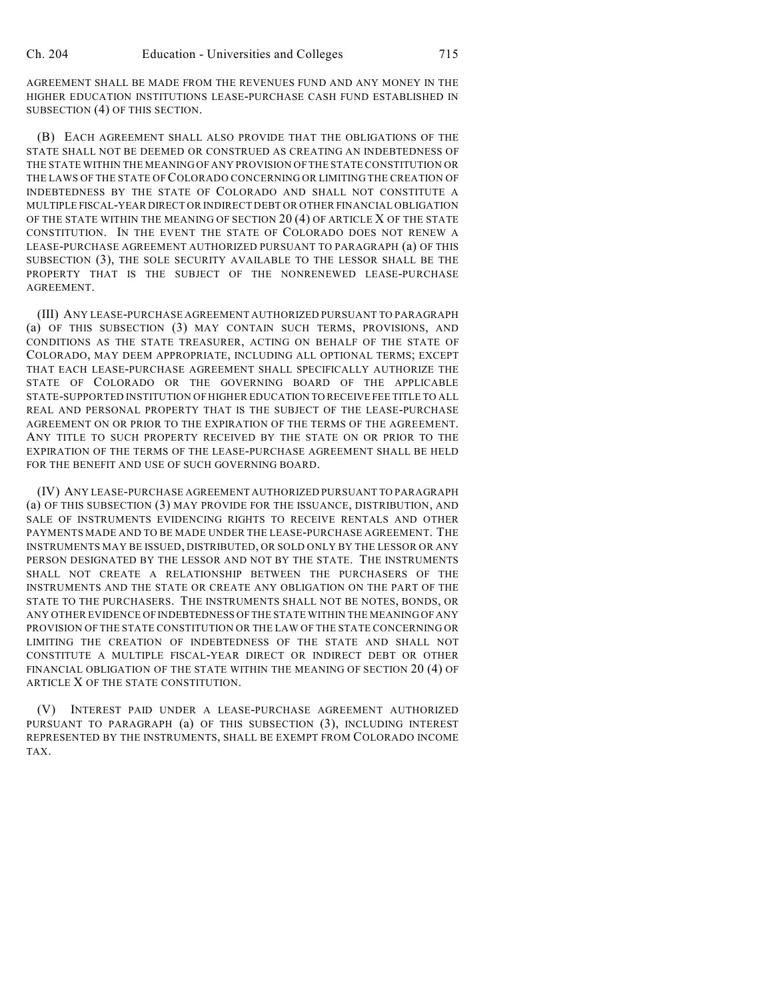AGREEMENT SHALL BE MADE FROM THE REVENUES FUND AND ANY MONEY IN THE HIGHER EDUCATION INSTITUTIONS LEASE-PURCHASE CASH FUND ESTABLISHED IN SUBSECTION (4) OF THIS SECTION.

(B) EACH AGREEMENT SHALL ALSO PROVIDE THAT THE OBLIGATIONS OF THE STATE SHALL NOT BE DEEMED OR CONSTRUED AS CREATING AN INDEBTEDNESS OF THE STATE WITHIN THE MEANING OF ANY PROVISION OFTHE STATE CONSTITUTION OR THE LAWS OF THE STATE OF COLORADO CONCERNING OR LIMITING THE CREATION OF INDEBTEDNESS BY THE STATE OF COLORADO AND SHALL NOT CONSTITUTE A MULTIPLE FISCAL-YEAR DIRECT OR INDIRECT DEBT OR OTHER FINANCIAL OBLIGATION OF THE STATE WITHIN THE MEANING OF SECTION 20 (4) OF ARTICLE X OF THE STATE CONSTITUTION. IN THE EVENT THE STATE OF COLORADO DOES NOT RENEW A LEASE-PURCHASE AGREEMENT AUTHORIZED PURSUANT TO PARAGRAPH (a) OF THIS SUBSECTION (3), THE SOLE SECURITY AVAILABLE TO THE LESSOR SHALL BE THE PROPERTY THAT IS THE SUBJECT OF THE NONRENEWED LEASE-PURCHASE **AGREEMENT** 

(III) ANY LEASE-PURCHASE AGREEMENT AUTHORIZED PURSUANT TO PARAGRAPH (a) OF THIS SUBSECTION (3) MAY CONTAIN SUCH TERMS, PROVISIONS, AND CONDITIONS AS THE STATE TREASURER, ACTING ON BEHALF OF THE STATE OF COLORADO, MAY DEEM APPROPRIATE, INCLUDING ALL OPTIONAL TERMS; EXCEPT THAT EACH LEASE-PURCHASE AGREEMENT SHALL SPECIFICALLY AUTHORIZE THE STATE OF COLORADO OR THE GOVERNING BOARD OF THE APPLICABLE STATE-SUPPORTED INSTITUTION OF HIGHER EDUCATION TO RECEIVE FEE TITLE TO ALL REAL AND PERSONAL PROPERTY THAT IS THE SUBJECT OF THE LEASE-PURCHASE AGREEMENT ON OR PRIOR TO THE EXPIRATION OF THE TERMS OF THE AGREEMENT. ANY TITLE TO SUCH PROPERTY RECEIVED BY THE STATE ON OR PRIOR TO THE EXPIRATION OF THE TERMS OF THE LEASE-PURCHASE AGREEMENT SHALL BE HELD FOR THE BENEFIT AND USE OF SUCH GOVERNING BOARD.

(IV) ANY LEASE-PURCHASE AGREEMENT AUTHORIZED PURSUANT TO PARAGRAPH (a) OF THIS SUBSECTION (3) MAY PROVIDE FOR THE ISSUANCE, DISTRIBUTION, AND SALE OF INSTRUMENTS EVIDENCING RIGHTS TO RECEIVE RENTALS AND OTHER PAYMENTS MADE AND TO BE MADE UNDER THE LEASE-PURCHASE AGREEMENT. THE INSTRUMENTS MAY BE ISSUED, DISTRIBUTED, OR SOLD ONLY BY THE LESSOR OR ANY PERSON DESIGNATED BY THE LESSOR AND NOT BY THE STATE. THE INSTRUMENTS SHALL NOT CREATE A RELATIONSHIP BETWEEN THE PURCHASERS OF THE INSTRUMENTS AND THE STATE OR CREATE ANY OBLIGATION ON THE PART OF THE STATE TO THE PURCHASERS. THE INSTRUMENTS SHALL NOT BE NOTES, BONDS, OR ANY OTHER EVIDENCE OF INDEBTEDNESS OF THE STATE WITHIN THE MEANING OF ANY PROVISION OF THE STATE CONSTITUTION OR THE LAW OF THE STATE CONCERNING OR LIMITING THE CREATION OF INDEBTEDNESS OF THE STATE AND SHALL NOT CONSTITUTE A MULTIPLE FISCAL-YEAR DIRECT OR INDIRECT DEBT OR OTHER FINANCIAL OBLIGATION OF THE STATE WITHIN THE MEANING OF SECTION 20 (4) OF ARTICLE X OF THE STATE CONSTITUTION.

(V) INTEREST PAID UNDER A LEASE-PURCHASE AGREEMENT AUTHORIZED PURSUANT TO PARAGRAPH (a) OF THIS SUBSECTION (3), INCLUDING INTEREST REPRESENTED BY THE INSTRUMENTS, SHALL BE EXEMPT FROM COLORADO INCOME TAX.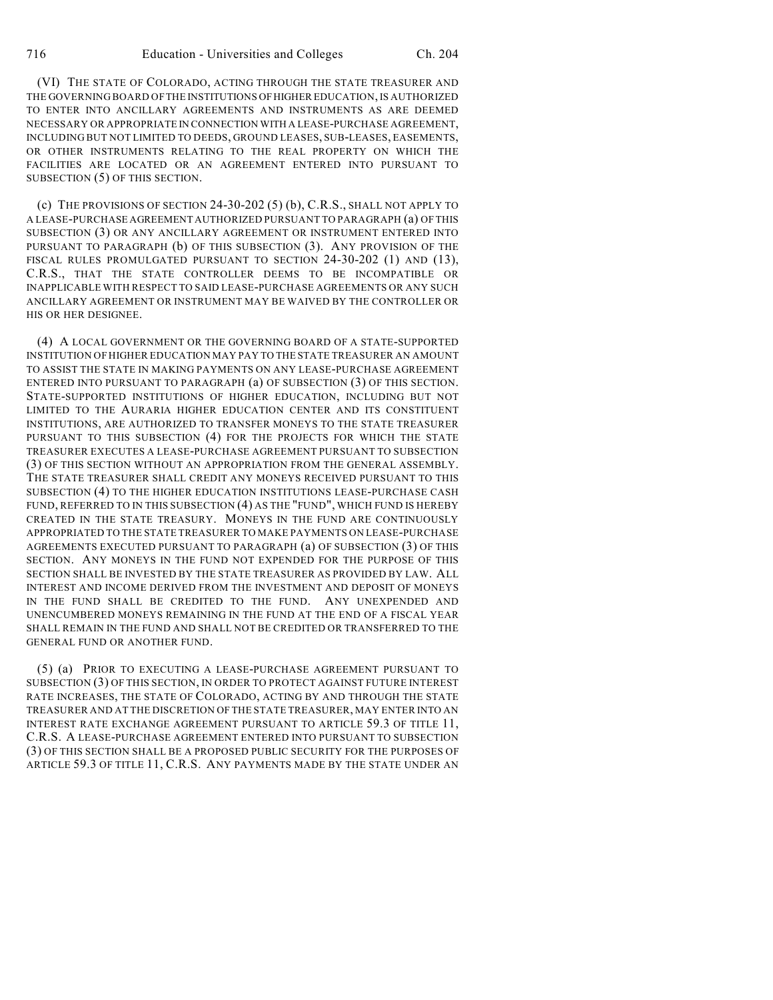(VI) THE STATE OF COLORADO, ACTING THROUGH THE STATE TREASURER AND THE GOVERNING BOARD OF THE INSTITUTIONS OF HIGHER EDUCATION, IS AUTHORIZED TO ENTER INTO ANCILLARY AGREEMENTS AND INSTRUMENTS AS ARE DEEMED NECESSARY OR APPROPRIATE IN CONNECTION WITH A LEASE-PURCHASE AGREEMENT, INCLUDING BUT NOT LIMITED TO DEEDS, GROUND LEASES, SUB-LEASES, EASEMENTS, OR OTHER INSTRUMENTS RELATING TO THE REAL PROPERTY ON WHICH THE FACILITIES ARE LOCATED OR AN AGREEMENT ENTERED INTO PURSUANT TO SUBSECTION (5) OF THIS SECTION.

(c) THE PROVISIONS OF SECTION  $24-30-202$  (5) (b), C.R.S., SHALL NOT APPLY TO A LEASE-PURCHASE AGREEMENT AUTHORIZED PURSUANT TO PARAGRAPH (a) OF THIS SUBSECTION (3) OR ANY ANCILLARY AGREEMENT OR INSTRUMENT ENTERED INTO PURSUANT TO PARAGRAPH (b) OF THIS SUBSECTION (3). ANY PROVISION OF THE FISCAL RULES PROMULGATED PURSUANT TO SECTION 24-30-202 (1) AND (13), C.R.S., THAT THE STATE CONTROLLER DEEMS TO BE INCOMPATIBLE OR INAPPLICABLE WITH RESPECT TO SAID LEASE-PURCHASE AGREEMENTS OR ANY SUCH ANCILLARY AGREEMENT OR INSTRUMENT MAY BE WAIVED BY THE CONTROLLER OR HIS OR HER DESIGNEE.

(4) A LOCAL GOVERNMENT OR THE GOVERNING BOARD OF A STATE-SUPPORTED INSTITUTION OF HIGHER EDUCATION MAY PAY TO THE STATE TREASURER AN AMOUNT TO ASSIST THE STATE IN MAKING PAYMENTS ON ANY LEASE-PURCHASE AGREEMENT ENTERED INTO PURSUANT TO PARAGRAPH (a) OF SUBSECTION (3) OF THIS SECTION. STATE-SUPPORTED INSTITUTIONS OF HIGHER EDUCATION, INCLUDING BUT NOT LIMITED TO THE AURARIA HIGHER EDUCATION CENTER AND ITS CONSTITUENT INSTITUTIONS, ARE AUTHORIZED TO TRANSFER MONEYS TO THE STATE TREASURER PURSUANT TO THIS SUBSECTION (4) FOR THE PROJECTS FOR WHICH THE STATE TREASURER EXECUTES A LEASE-PURCHASE AGREEMENT PURSUANT TO SUBSECTION (3) OF THIS SECTION WITHOUT AN APPROPRIATION FROM THE GENERAL ASSEMBLY. THE STATE TREASURER SHALL CREDIT ANY MONEYS RECEIVED PURSUANT TO THIS SUBSECTION (4) TO THE HIGHER EDUCATION INSTITUTIONS LEASE-PURCHASE CASH FUND, REFERRED TO IN THIS SUBSECTION (4) AS THE "FUND", WHICH FUND IS HEREBY CREATED IN THE STATE TREASURY. MONEYS IN THE FUND ARE CONTINUOUSLY APPROPRIATED TO THE STATE TREASURER TO MAKE PAYMENTS ON LEASE-PURCHASE AGREEMENTS EXECUTED PURSUANT TO PARAGRAPH (a) OF SUBSECTION (3) OF THIS SECTION. ANY MONEYS IN THE FUND NOT EXPENDED FOR THE PURPOSE OF THIS SECTION SHALL BE INVESTED BY THE STATE TREASURER AS PROVIDED BY LAW. ALL INTEREST AND INCOME DERIVED FROM THE INVESTMENT AND DEPOSIT OF MONEYS IN THE FUND SHALL BE CREDITED TO THE FUND. ANY UNEXPENDED AND UNENCUMBERED MONEYS REMAINING IN THE FUND AT THE END OF A FISCAL YEAR SHALL REMAIN IN THE FUND AND SHALL NOT BE CREDITED OR TRANSFERRED TO THE GENERAL FUND OR ANOTHER FUND.

(5) (a) PRIOR TO EXECUTING A LEASE-PURCHASE AGREEMENT PURSUANT TO SUBSECTION (3) OF THIS SECTION, IN ORDER TO PROTECT AGAINST FUTURE INTEREST RATE INCREASES, THE STATE OF COLORADO, ACTING BY AND THROUGH THE STATE TREASURER AND AT THE DISCRETION OF THE STATE TREASURER, MAY ENTER INTO AN INTEREST RATE EXCHANGE AGREEMENT PURSUANT TO ARTICLE 59.3 OF TITLE 11, C.R.S. A LEASE-PURCHASE AGREEMENT ENTERED INTO PURSUANT TO SUBSECTION (3) OF THIS SECTION SHALL BE A PROPOSED PUBLIC SECURITY FOR THE PURPOSES OF ARTICLE 59.3 OF TITLE 11, C.R.S. ANY PAYMENTS MADE BY THE STATE UNDER AN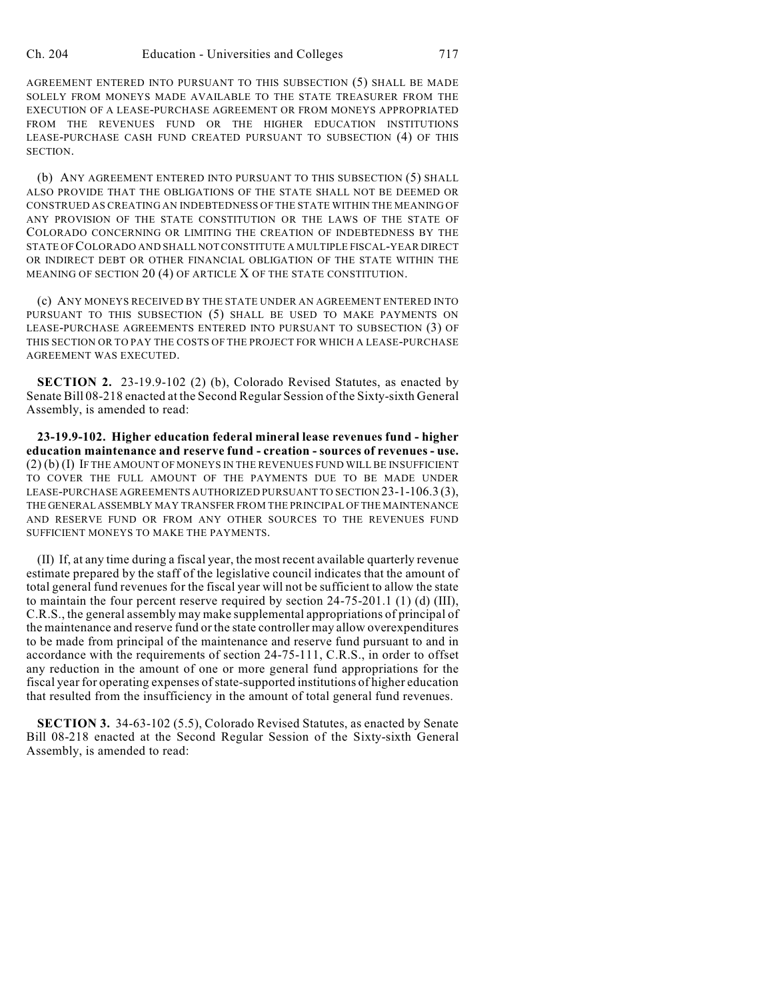AGREEMENT ENTERED INTO PURSUANT TO THIS SUBSECTION (5) SHALL BE MADE SOLELY FROM MONEYS MADE AVAILABLE TO THE STATE TREASURER FROM THE EXECUTION OF A LEASE-PURCHASE AGREEMENT OR FROM MONEYS APPROPRIATED FROM THE REVENUES FUND OR THE HIGHER EDUCATION INSTITUTIONS LEASE-PURCHASE CASH FUND CREATED PURSUANT TO SUBSECTION (4) OF THIS SECTION.

(b) ANY AGREEMENT ENTERED INTO PURSUANT TO THIS SUBSECTION (5) SHALL ALSO PROVIDE THAT THE OBLIGATIONS OF THE STATE SHALL NOT BE DEEMED OR CONSTRUED AS CREATING AN INDEBTEDNESS OF THE STATE WITHIN THE MEANING OF ANY PROVISION OF THE STATE CONSTITUTION OR THE LAWS OF THE STATE OF COLORADO CONCERNING OR LIMITING THE CREATION OF INDEBTEDNESS BY THE STATE OF COLORADO AND SHALL NOT CONSTITUTE A MULTIPLE FISCAL-YEAR DIRECT OR INDIRECT DEBT OR OTHER FINANCIAL OBLIGATION OF THE STATE WITHIN THE MEANING OF SECTION 20 (4) OF ARTICLE X OF THE STATE CONSTITUTION.

(c) ANY MONEYS RECEIVED BY THE STATE UNDER AN AGREEMENT ENTERED INTO PURSUANT TO THIS SUBSECTION (5) SHALL BE USED TO MAKE PAYMENTS ON LEASE-PURCHASE AGREEMENTS ENTERED INTO PURSUANT TO SUBSECTION (3) OF THIS SECTION OR TO PAY THE COSTS OF THE PROJECT FOR WHICH A LEASE-PURCHASE AGREEMENT WAS EXECUTED.

**SECTION 2.** 23-19.9-102 (2) (b), Colorado Revised Statutes, as enacted by Senate Bill 08-218 enacted at the Second Regular Session of the Sixty-sixth General Assembly, is amended to read:

**23-19.9-102. Higher education federal mineral lease revenues fund - higher education maintenance and reserve fund - creation - sources of revenues - use.** (2) (b) (I) IF THE AMOUNT OF MONEYS IN THE REVENUES FUND WILL BE INSUFFICIENT TO COVER THE FULL AMOUNT OF THE PAYMENTS DUE TO BE MADE UNDER LEASE-PURCHASE AGREEMENTS AUTHORIZED PURSUANT TO SECTION 23-1-106.3 (3), THE GENERAL ASSEMBLY MAY TRANSFER FROM THE PRINCIPAL OF THE MAINTENANCE AND RESERVE FUND OR FROM ANY OTHER SOURCES TO THE REVENUES FUND SUFFICIENT MONEYS TO MAKE THE PAYMENTS.

(II) If, at any time during a fiscal year, the most recent available quarterly revenue estimate prepared by the staff of the legislative council indicates that the amount of total general fund revenues for the fiscal year will not be sufficient to allow the state to maintain the four percent reserve required by section 24-75-201.1 (1) (d) (III), C.R.S., the general assembly may make supplemental appropriations of principal of the maintenance and reserve fund or the state controller may allow overexpenditures to be made from principal of the maintenance and reserve fund pursuant to and in accordance with the requirements of section 24-75-111, C.R.S., in order to offset any reduction in the amount of one or more general fund appropriations for the fiscal year for operating expenses of state-supported institutions of higher education that resulted from the insufficiency in the amount of total general fund revenues.

**SECTION 3.** 34-63-102 (5.5), Colorado Revised Statutes, as enacted by Senate Bill 08-218 enacted at the Second Regular Session of the Sixty-sixth General Assembly, is amended to read: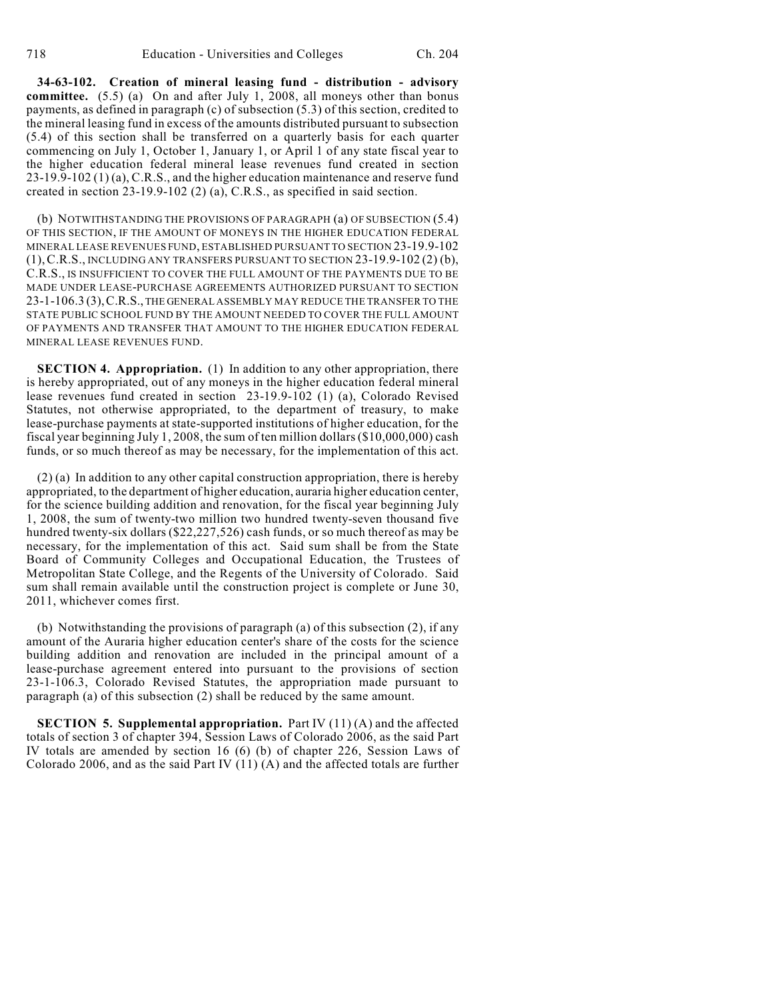**34-63-102. Creation of mineral leasing fund - distribution - advisory committee.** (5.5) (a) On and after July 1, 2008, all moneys other than bonus payments, as defined in paragraph (c) of subsection (5.3) of this section, credited to the mineral leasing fund in excess of the amounts distributed pursuant to subsection (5.4) of this section shall be transferred on a quarterly basis for each quarter commencing on July 1, October 1, January 1, or April 1 of any state fiscal year to the higher education federal mineral lease revenues fund created in section 23-19.9-102 (1) (a), C.R.S., and the higher education maintenance and reserve fund created in section 23-19.9-102 (2) (a), C.R.S., as specified in said section.

(b) NOTWITHSTANDING THE PROVISIONS OF PARAGRAPH (a) OF SUBSECTION (5.4) OF THIS SECTION, IF THE AMOUNT OF MONEYS IN THE HIGHER EDUCATION FEDERAL MINERAL LEASE REVENUES FUND, ESTABLISHED PURSUANT TO SECTION 23-19.9-102 (1),C.R.S., INCLUDING ANY TRANSFERS PURSUANT TO SECTION 23-19.9-102 (2) (b), C.R.S., IS INSUFFICIENT TO COVER THE FULL AMOUNT OF THE PAYMENTS DUE TO BE MADE UNDER LEASE-PURCHASE AGREEMENTS AUTHORIZED PURSUANT TO SECTION 23-1-106.3 (3),C.R.S., THE GENERAL ASSEMBLY MAY REDUCE THE TRANSFER TO THE STATE PUBLIC SCHOOL FUND BY THE AMOUNT NEEDED TO COVER THE FULL AMOUNT OF PAYMENTS AND TRANSFER THAT AMOUNT TO THE HIGHER EDUCATION FEDERAL MINERAL LEASE REVENUES FUND.

**SECTION 4. Appropriation.** (1) In addition to any other appropriation, there is hereby appropriated, out of any moneys in the higher education federal mineral lease revenues fund created in section 23-19.9-102 (1) (a), Colorado Revised Statutes, not otherwise appropriated, to the department of treasury, to make lease-purchase payments at state-supported institutions of higher education, for the fiscal year beginning July 1, 2008, the sum of ten million dollars (\$10,000,000) cash funds, or so much thereof as may be necessary, for the implementation of this act.

(2) (a) In addition to any other capital construction appropriation, there is hereby appropriated, to the department of higher education, auraria higher education center, for the science building addition and renovation, for the fiscal year beginning July 1, 2008, the sum of twenty-two million two hundred twenty-seven thousand five hundred twenty-six dollars (\$22,227,526) cash funds, or so much thereof as may be necessary, for the implementation of this act. Said sum shall be from the State Board of Community Colleges and Occupational Education, the Trustees of Metropolitan State College, and the Regents of the University of Colorado. Said sum shall remain available until the construction project is complete or June 30, 2011, whichever comes first.

(b) Notwithstanding the provisions of paragraph (a) of this subsection (2), if any amount of the Auraria higher education center's share of the costs for the science building addition and renovation are included in the principal amount of a lease-purchase agreement entered into pursuant to the provisions of section 23-1-106.3, Colorado Revised Statutes, the appropriation made pursuant to paragraph (a) of this subsection (2) shall be reduced by the same amount.

**SECTION 5. Supplemental appropriation.** Part IV (11) (A) and the affected totals of section 3 of chapter 394, Session Laws of Colorado 2006, as the said Part IV totals are amended by section 16 (6) (b) of chapter 226, Session Laws of Colorado 2006, and as the said Part IV  $(11)$   $(A)$  and the affected totals are further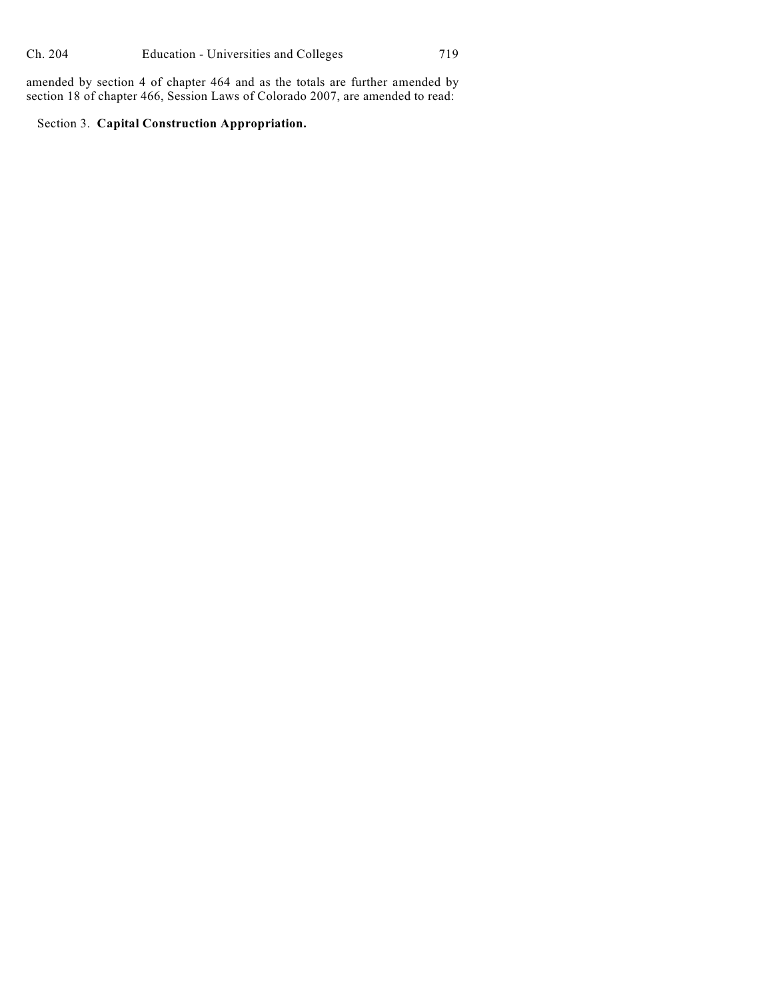amended by section 4 of chapter 464 and as the totals are further amended by section 18 of chapter 466, Session Laws of Colorado 2007, are amended to read:

Section 3. **Capital Construction Appropriation.**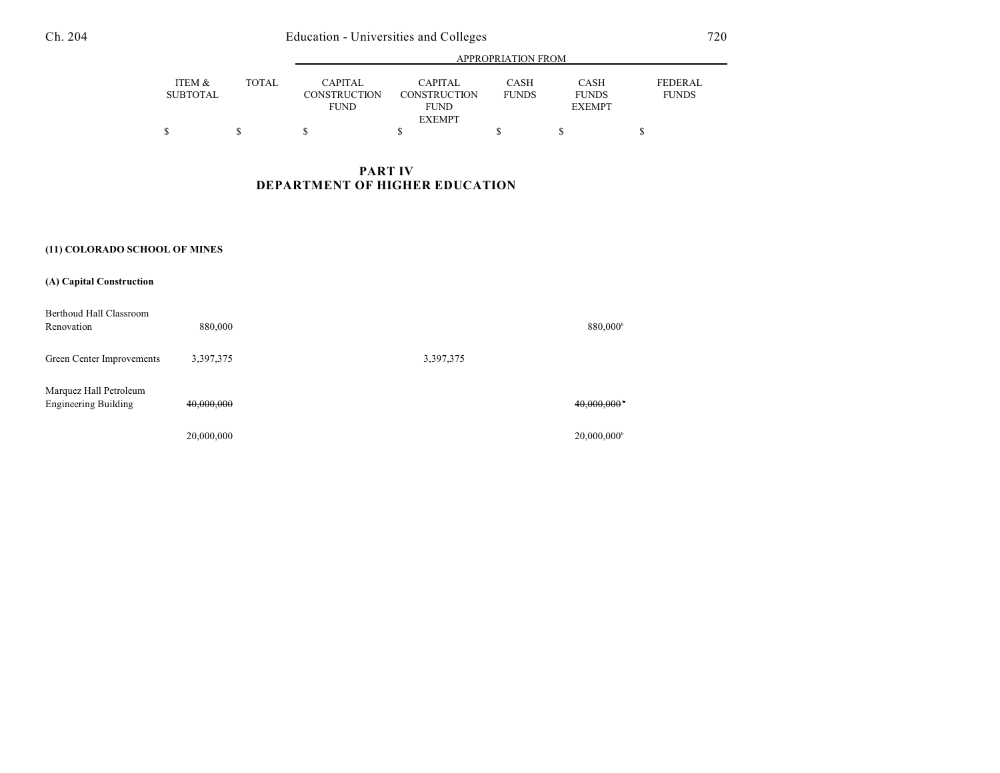## Ch. 204 Education - Universities and Colleges 720

|                           |        | <b>APPROPRIATION FROM</b>                            |                                               |                      |                                              |                                |  |
|---------------------------|--------|------------------------------------------------------|-----------------------------------------------|----------------------|----------------------------------------------|--------------------------------|--|
| ITEM &<br><b>SUBTOTAL</b> | TOTAL. | <b>CAPITAL</b><br><b>CONSTRUCTION</b><br><b>FUND</b> | CAPITAL<br><b>CONSTRUCTION</b><br><b>FUND</b> | CASH<br><b>FUNDS</b> | <b>CASH</b><br><b>FUNDS</b><br><b>EXEMPT</b> | <b>FEDERAL</b><br><b>FUNDS</b> |  |
|                           |        |                                                      | <b>EXEMPT</b>                                 |                      |                                              |                                |  |

## **PART IV DEPARTMENT OF HIGHER EDUCATION**

## **(11) COLORADO SCHOOL OF MINES**

| (A) Capital Construction                              |            |           |                           |
|-------------------------------------------------------|------------|-----------|---------------------------|
| Berthoud Hall Classroom<br>Renovation                 | 880,000    |           | 880,000 <sup>b</sup>      |
| Green Center Improvements                             | 3,397,375  | 3,397,375 |                           |
| Marquez Hall Petroleum<br><b>Engineering Building</b> | 40,000,000 |           | 40,000,000                |
|                                                       | 20,000,000 |           | $20,000,000$ <sup>b</sup> |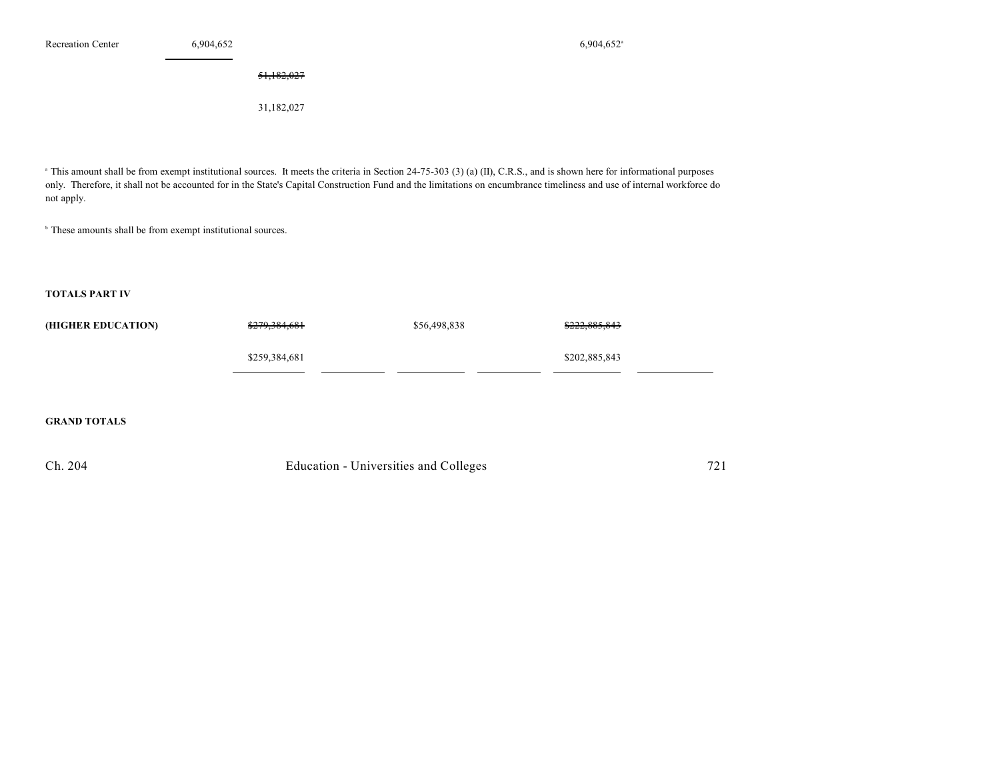#### 51,182,027

31,182,027

<sup>a</sup> This amount shall be from exempt institutional sources. It meets the criteria in Section 24-75-303 (3) (a) (II), C.R.S., and is shown here for informational purposes only. Therefore, it shall not be accounted for in the State's Capital Construction Fund and the limitations on encumbrance timeliness and use of internal workforce do not apply.

 $<sup>b</sup>$  These amounts shall be from exempt institutional sources.</sup>

#### **TOTALS PART IV**

| (HIGHER EDUCATION) | <del>\$279,384,681</del> | \$56,498,838 | <del>\$222,885,843</del> |
|--------------------|--------------------------|--------------|--------------------------|
|                    | \$259,384,681            |              | \$202,885,843            |

## **GRAND TOTALS**

| Ch. 204 | Education - Universities and Colleges |  |
|---------|---------------------------------------|--|
|         |                                       |  |